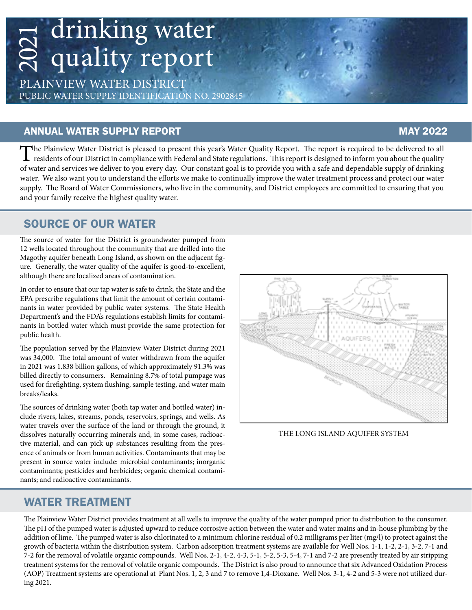# drinking water quality report 2021

PLAINVIEW WATER DISTRICT PUBLIC WATER SUPPLY IDENTIFICATION NO. 2902845

#### ANNUAL WATER SUPPLY REPORT MAY 2022

The Plainview Water District is pleased to present this year's Water Quality Report. The report is required to be delivered to all<br>residents of our District in compliance with Federal and State regulations. This report is of water and services we deliver to you every day. Our constant goal is to provide you with a safe and dependable supply of drinking water. We also want you to understand the efforts we make to continually improve the water treatment process and protect our water supply. The Board of Water Commissioners, who live in the community, and District employees are committed to ensuring that you and your family receive the highest quality water.

#### SOURCE OF OUR WATER

The source of water for the District is groundwater pumped from 12 wells located throughout the community that are drilled into the Magothy aquifer beneath Long Island, as shown on the adjacent figure. Generally, the water quality of the aquifer is good-to-excellent, although there are localized areas of contamination.

In order to ensure that our tap water is safe to drink, the State and the EPA prescribe regulations that limit the amount of certain contaminants in water provided by public water systems. The State Health Department's and the FDA's regulations establish limits for contaminants in bottled water which must provide the same protection for public health.

The population served by the Plainview Water District during 2021 was 34,000. The total amount of water withdrawn from the aquifer in 2021 was 1.838 billion gallons, of which approximately 91.3% was billed directly to consumers. Remaining 8.7% of total pumpage was used for firefighting, system flushing, sample testing, and water main breaks/leaks.

The sources of drinking water (both tap water and bottled water) include rivers, lakes, streams, ponds, reservoirs, springs, and wells. As water travels over the surface of the land or through the ground, it dissolves naturally occurring minerals and, in some cases, radioactive material, and can pick up substances resulting from the presence of animals or from human activities. Contaminants that may be present in source water include: microbial contaminants; inorganic contaminants; pesticides and herbicides; organic chemical contaminants; and radioactive contaminants.



THE LONG ISLAND AQUIFER SYSTEM

#### WATER TREATMENT

The Plainview Water District provides treatment at all wells to improve the quality of the water pumped prior to distribution to the consumer. The pH of the pumped water is adjusted upward to reduce corrosive action between the water and water mains and in-house plumbing by the addition of lime. The pumped water is also chlorinated to a minimum chlorine residual of 0.2 milligrams per liter (mg/l) to protect against the growth of bacteria within the distribution system. Carbon adsorption treatment systems are available for Well Nos. 1-1, 1-2, 2-1, 3-2, 7-1 and 7-2 for the removal of volatile organic compounds. Well Nos. 2-1, 4-2, 4-3, 5-1, 5-2, 5-3, 5-4, 7-1 and 7-2 are presently treated by air stripping treatment systems for the removal of volatile organic compounds. The District is also proud to announce that six Advanced Oxidation Process (AOP) Treatment systems are operational at Plant Nos. 1, 2, 3 and 7 to remove 1,4-Dioxane. Well Nos. 3-1, 4-2 and 5-3 were not utilized during 2021.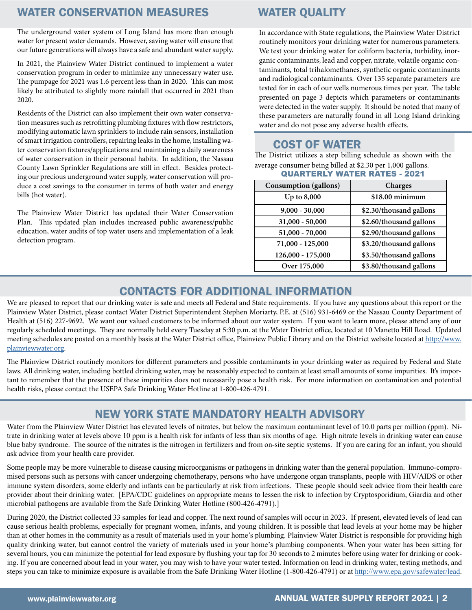#### WATER CONSERVATION MEASURES WATER QUALITY

The underground water system of Long Island has more than enough water for present water demands. However, saving water will ensure that our future generations will always have a safe and abundant water supply.

In 2021, the Plainview Water District continued to implement a water conservation program in order to minimize any unnecessary water use. The pumpage for 2021 was 1.6 percent less than in 2020. This can most likely be attributed to slightly more rainfall that occurred in 2021 than 2020.

Residents of the District can also implement their own water conservation measures such as retrofitting plumbing fixtures with flow restrictors, modifying automatic lawn sprinklers to include rain sensors, installation of smart irrigation controllers, repairing leaks in the home, installing water conservation fixtures/applications and maintaining a daily awareness of water conservation in their personal habits. In addition, the Nassau County Lawn Sprinkler Regulations are still in effect. Besides protecting our precious underground water supply, water conservation will produce a cost savings to the consumer in terms of both water and energy bills (hot water).

The Plainview Water District has updated their Water Conservation Plan. This updated plan includes increased public awareness/public education, water audits of top water users and implementation of a leak detection program.

In accordance with State regulations, the Plainview Water District routinely monitors your drinking water for numerous parameters. We test your drinking water for coliform bacteria, turbidity, inorganic contaminants, lead and copper, nitrate, volatile organic contaminants, total trihalomethanes, synthetic organic contaminants and radiological contaminants. Over 135 separate parameters are tested for in each of our wells numerous times per year. The table presented on page 3 depicts which parameters or contaminants were detected in the water supply. It should be noted that many of these parameters are naturally found in all Long Island drinking water and do not pose any adverse health effects.

### COST OF WATER

The District utilizes a step billing schedule as shown with the average consumer being billed at \$2.30 per 1,000 gallons. QUARTERLY WATER RATES - 2021

| <b>Consumption</b> (gallons) | Charges                 |
|------------------------------|-------------------------|
| Up to 8,000                  | $$18.00$ minimum        |
| $9,000 - 30,000$             | \$2.30/thousand gallons |
| $31,000 - 50,000$            | \$2.60/thousand gallons |
| $51,000 - 70,000$            | \$2.90/thousand gallons |
| 71,000 - 125,000             | \$3.20/thousand gallons |
| 126,000 - 175,000            | \$3.50/thousand gallons |
| Over 175,000                 | \$3.80/thousand gallons |

### CONTACTS FOR ADDITIONAL INFORMATION

We are pleased to report that our drinking water is safe and meets all Federal and State requirements. If you have any questions about this report or the Plainview Water District, please contact Water District Superintendent Stephen Moriarty, P.E. at (516) 931-6469 or the Nassau County Department of Health at (516) 227-9692. We want our valued customers to be informed about our water system. If you want to learn more, please attend any of our regularly scheduled meetings. They are normally held every Tuesday at 5:30 p.m. at the Water District office, located at 10 Manetto Hill Road. Updated meeting schedules are posted on a monthly basis at the Water District office, Plainview Public Library and on the District website located at [http://www.](http://www.plainviewwater.org) [plainviewwater.org](http://www.plainviewwater.org).

The Plainview District routinely monitors for different parameters and possible contaminants in your drinking water as required by Federal and State laws. All drinking water, including bottled drinking water, may be reasonably expected to contain at least small amounts of some impurities. It's important to remember that the presence of these impurities does not necessarily pose a health risk. For more information on contamination and potential health risks, please contact the USEPA Safe Drinking Water Hotline at 1-800-426-4791.

#### NEW YORK STATE MANDATORY HEALTH ADVISORY

Water from the Plainview Water District has elevated levels of nitrates, but below the maximum contaminant level of 10.0 parts per million (ppm). Nitrate in drinking water at levels above 10 ppm is a health risk for infants of less than six months of age. High nitrate levels in drinking water can cause blue baby syndrome. The source of the nitrates is the nitrogen in fertilizers and from on-site septic systems. If you are caring for an infant, you should ask advice from your health care provider.

Some people may be more vulnerable to disease causing microorganisms or pathogens in drinking water than the general population. Immuno-compromised persons such as persons with cancer undergoing chemotherapy, persons who have undergone organ transplants, people with HIV/AIDS or other immune system disorders, some elderly and infants can be particularly at risk from infections. These people should seek advice from their health care provider about their drinking water. [EPA/CDC guidelines on appropriate means to lessen the risk to infection by Cryptosporidium, Giardia and other microbial pathogens are available from the Safe Drinking Water Hotline (800-426-4791).]

During 2020, the District collected 33 samples for lead and copper. The next round of samples will occur in 2023. If present, elevated levels of lead can cause serious health problems, especially for pregnant women, infants, and young children. It is possible that lead levels at your home may be higher than at other homes in the community as a result of materials used in your home's plumbing. Plainview Water District is responsible for providing high quality drinking water, but cannot control the variety of materials used in your home's plumbing components. When your water has been sitting for several hours, you can minimize the potential for lead exposure by flushing your tap for 30 seconds to 2 minutes before using water for drinking or cooking. If you are concerned about lead in your water, you may wish to have your water tested. Information on lead in drinking water, testing methods, and steps you can take to minimize exposure is available from the Safe Drinking Water Hotline (1-800-426-4791) or at [http://www.epa.gov/safewater/lead.](http://www.epa.gov/safewater/lead)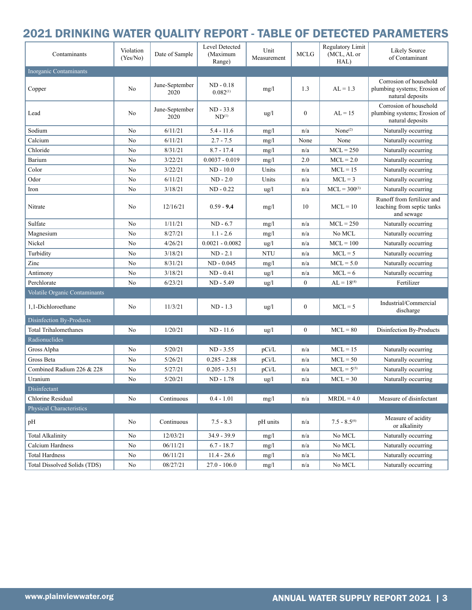# 2021 DRINKING WATER QUALITY REPORT - TABLE OF DETECTED PARAMETERS

| Contaminants                    | Violation<br>(Yes/No) | Date of Sample         | Level Detected<br>(Maximum<br>Range) | Unit<br>Measurement | <b>MCLG</b>      | Regulatory Limit<br>(MCL, AL or<br>HAL) | Likely Source<br>of Contaminant                                            |
|---------------------------------|-----------------------|------------------------|--------------------------------------|---------------------|------------------|-----------------------------------------|----------------------------------------------------------------------------|
| Inorganic Contaminants          |                       |                        |                                      |                     |                  |                                         |                                                                            |
| Copper                          | No                    | June-September<br>2020 | $ND - 0.18$<br>$0.082^{(1)}$         | mg/l                | 1.3              | $AL = 1.3$                              | Corrosion of household<br>plumbing systems; Erosion of<br>natural deposits |
| Lead                            | N <sub>0</sub>        | June-September<br>2020 | $ND - 33.8$<br>$ND^{(1)}$            | $\frac{u}{g}$       | $\mathbf{0}$     | $AL = 15$                               | Corrosion of household<br>plumbing systems; Erosion of<br>natural deposits |
| Sodium                          | No                    | 6/11/21                | $5.4 - 11.6$                         | mg/l                | n/a              | None <sup>(2)</sup>                     | Naturally occurring                                                        |
| Calcium                         | No                    | 6/11/21                | $2.7 - 7.5$                          | mg/l                | None             | None                                    | Naturally occurring                                                        |
| Chloride                        | No                    | 8/31/21                | $8.7 - 17.4$                         | mg/l                | n/a              | $MCL = 250$                             | Naturally occurring                                                        |
| Barium                          | No                    | 3/22/21                | $0.0037 - 0.019$                     | mg/l                | 2.0              | $MCL = 2.0$                             | Naturally occurring                                                        |
| Color                           | No                    | 3/22/21                | $ND - 10.0$                          | Units               | n/a              | $MCL = 15$                              | Naturally occurring                                                        |
| Odor                            | No                    | 6/11/21                | $ND - 2.0$                           | Units               | n/a              | $MCL = 3$                               | Naturally occurring                                                        |
| Iron                            | No                    | 3/18/21                | $ND - 0.22$                          | ug/l                | n/a              | $MCL = 300^{(3)}$                       | Naturally occurring                                                        |
| Nitrate                         | N <sub>0</sub>        | 12/16/21               | $0.59 - 9.4$                         | mg/l                | 10               | $MCL = 10$                              | Runoff from fertilizer and<br>leaching from septic tanks<br>and sewage     |
| Sulfate                         | No                    | 1/11/21                | $ND - 6.7$                           | mg/l                | n/a              | $MCL = 250$                             | Naturally occurring                                                        |
| Magnesium                       | No                    | 8/27/21                | $1.1 - 2.6$                          | mg/l                | n/a              | No MCL                                  | Naturally occurring                                                        |
| Nickel                          | No                    | 4/26/21                | $0.0021 - 0.0082$                    | ug/l                | n/a              | $MCL = 100$                             | Naturally occurring                                                        |
| Turbidity                       | No                    | 3/18/21                | $ND - 2.1$                           | <b>NTU</b>          | n/a              | $MCL = 5$                               | Naturally occurring                                                        |
| Zinc                            | No                    | 8/31/21                | $ND - 0.045$                         | mg/l                | n/a              | $MCL = 5.0$                             | Naturally occurring                                                        |
| Antimony                        | N <sub>0</sub>        | 3/18/21                | $ND - 0.41$                          | ug/l                | n/a              | $MCL = 6$                               | Naturally occurring                                                        |
| Perchlorate                     | No                    | 6/23/21                | ND - 5.49                            | ug/l                | $\mathbf{0}$     | $AL = 18^{(4)}$                         | Fertilizer                                                                 |
| Volatile Organic Contaminants   |                       |                        |                                      |                     |                  |                                         |                                                                            |
| 1,1-Dichloroethane              | No                    | 11/3/21                | $ND - 1.3$                           | $\frac{u}{g}$       | $\boldsymbol{0}$ | $MCL = 5$                               | Industrial/Commercial<br>discharge                                         |
| Disinfection By-Products        |                       |                        |                                      |                     |                  |                                         |                                                                            |
| <b>Total Trihalomethanes</b>    | No                    | 1/20/21                | $ND - 11.6$                          | $\frac{u}{g}$       | $\mathbf{0}$     | $MCL = 80$                              | Disinfection By-Products                                                   |
| Radionuclides                   |                       |                        |                                      |                     |                  |                                         |                                                                            |
| Gross Alpha                     | No                    | 5/20/21                | $ND - 3.55$                          | pCi/L               | n/a              | $MCL = 15$                              | Naturally occurring                                                        |
| Gross Beta                      | N <sub>0</sub>        | 5/26/21                | $0.285 - 2.88$                       | pCi/L               | n/a              | $MCL = 50$                              | Naturally occurring                                                        |
| Combined Radium 226 & 228       | No                    | 5/27/21                | $0.205 - 3.51$                       | pCi/L               | n/a              | $MCL = 5^{(5)}$                         | Naturally occurring                                                        |
| Uranium                         | N <sub>0</sub>        | 5/20/21                | $ND - 1.78$                          | ug/l                | n/a              | $MCL = 30$                              | Naturally occurring                                                        |
| Disinfectant                    |                       |                        |                                      |                     |                  |                                         |                                                                            |
| Chlorine Residual               | No                    | Continuous             | $0.4 - 1.01$                         | mg/l                | n/a              | $MRDL = 4.0$                            | Measure of disinfectant                                                    |
| <b>Physical Characteristics</b> |                       |                        |                                      |                     |                  |                                         |                                                                            |
| pH                              | No                    | Continuous             | $7.5 - 8.3$                          | pH units            | n/a              | $7.5 - 8.5^{(6)}$                       | Measure of acidity<br>or alkalinity                                        |
| <b>Total Alkalinity</b>         | N <sub>0</sub>        | 12/03/21               | $34.9 - 39.9$                        | mg/l                | n/a              | No MCL                                  | Naturally occurring                                                        |
| Calcium Hardness                | No                    | 06/11/21               | $6.7 - 18.7$                         | mg/l                | n/a              | No MCL                                  | Naturally occurring                                                        |
| <b>Total Hardness</b>           | N <sub>0</sub>        | 06/11/21               | $11.4 - 28.6$                        | mg/l                | n/a              | No MCL                                  | Naturally occurring                                                        |
| Total Dissolved Solids (TDS)    | No                    | 08/27/21               | $27.0 - 106.0$                       | mg/l                | n/a              | No MCL                                  | Naturally occurring                                                        |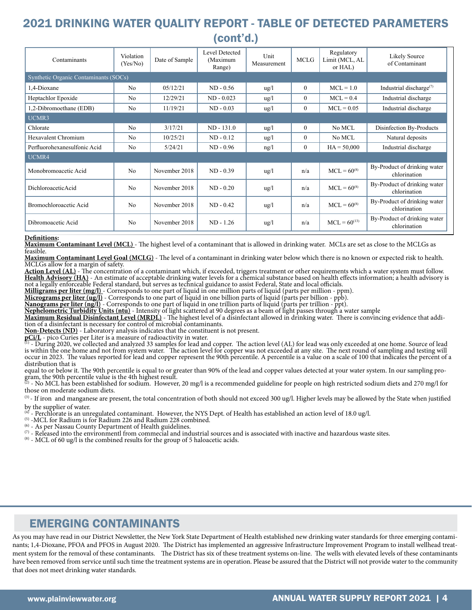# 2021 DRINKING WATER QUALITY REPORT - TABLE OF DETECTED PARAMETERS (cont'd.)

| Contaminants                          | Violation<br>(Yes/No) | Date of Sample | Level Detected<br>(Maximum<br>Range) | Unit<br>Measurement | <b>MCLG</b>  | Regulatory<br>Limit (MCL, AL<br>or HAL) | Likely Source<br>of Contaminant                  |  |  |  |
|---------------------------------------|-----------------------|----------------|--------------------------------------|---------------------|--------------|-----------------------------------------|--------------------------------------------------|--|--|--|
| Synthetic Organic Contaminants (SOCs) |                       |                |                                      |                     |              |                                         |                                                  |  |  |  |
| 1,4-Dioxane                           | N <sub>0</sub>        | 05/12/21       | $ND - 0.56$                          | $\frac{u}{g}$       | $\mathbf{0}$ | $MCL = 1.0$                             | Industrial discharge <sup><math>(7)</math></sup> |  |  |  |
| Heptachlor Epoxide                    | No                    | 12/29/21       | $ND - 0.023$                         | $\frac{u}{g}$       | $\theta$     | $MCL = 0.4$                             | Industrial discharge                             |  |  |  |
| 1,2-Dibromoethane (EDB)               | N <sub>0</sub>        | 11/19/21       | $ND - 0.03$                          | $\frac{u}{g}$       | $\theta$     | $MCL = 0.05$                            | Industrial discharge                             |  |  |  |
| UCMR3                                 |                       |                |                                      |                     |              |                                         |                                                  |  |  |  |
| Chlorate                              | N <sub>0</sub>        | 3/17/21        | $ND - 131.0$                         | $\frac{u}{g}$       | $\mathbf{0}$ | No MCL                                  | Disinfection By-Products                         |  |  |  |
| Hexavalent Chromium                   | N <sub>0</sub>        | 10/25/21       | $ND - 0.12$                          | $\frac{u}{g}$       | $\theta$     | No MCL                                  | Natural deposits                                 |  |  |  |
| Perfluorohexanesulfonic Acid          | N <sub>0</sub>        | 5/24/21        | $ND - 0.96$                          | $\frac{ng}{l}$      | $\theta$     | $HA = 50,000$                           | Industrial discharge                             |  |  |  |
| UCMR4                                 |                       |                |                                      |                     |              |                                         |                                                  |  |  |  |
| Monobromoacetic Acid                  | No                    | November 2018  | $ND - 0.39$                          | $\frac{u g}{l}$     | n/a          | $MCL = 60^{(8)}$                        | By-Product of drinking water<br>chlorination     |  |  |  |
| DichloroaceticAcid                    | No                    | November 2018  | $ND - 0.20$                          | $\frac{u}{g}$       | n/a          | $MCL = 60^{(8)}$                        | By-Product of drinking water<br>chlorination     |  |  |  |
| Bromochloroacetic Acid                | No                    | November 2018  | $ND - 0.42$                          | $\frac{u}{g}$       | n/a          | $MCL = 60^{(8)}$                        | By-Product of drinking water<br>chlorination     |  |  |  |
| Dibromoacetic Acid                    | N <sub>0</sub>        | November 2018  | $ND - 1.26$                          | $\frac{u}{g}$       | n/a          | $MCL = 60^{(13)}$                       | By-Product of drinking water<br>chlorination     |  |  |  |

**Definitions:**<br><mark>Maximum Contaminant Level (MCL)</mark> - The highest level of a contaminant that is allowed in drinking water. MCLs are set as close to the MCLGs as<br>feasible.

Maximum Contaminant Level Goal (MCLG) - The level of a contaminant in drinking water below which there is no known or expected risk to health.<br>MCLGs allow for a margin of safety.<br>Action Level (AL) - The concentration of a

Health Advisory (HA) - An estimate of acceptable drinking water levels for a chemical substance based on health effects information; a health advisory is not a legally enforceable Federal standard, but serves as technical

**Milligrams per liter (mg/l)** - Corresponds to one part of liquid in one million parts of liquid (parts per million - ppm).

**Micrograms per liter (ug/l)** - Corresponds to one part of liquid in one billion parts of liquid (parts per billion - ppb).

**Nanograms per liter (ng/l)** - Corresponds to one part of liquid in one trillion parts of liquid (parts per trillion - ppt).

Nephelometric Turbidity Units (ntu) - Intensity of light scattered at 90 degrees as a beam of light passes through a water sample<br>Maximum Residual Disinfectant Level (MRDL) - The highest level of a disinfectant allowed in

**Non-Detects (ND)** - Laboratory analysis indicates that the constituent is not present.

pCi/L - pico Curies per Liter is a measure of radioactivity in water.<br><sup>(1)</sup> - During 2020, we collected and analyzed 33 samples for lead and copper. The action level (AL) for lead was only exceeded at one home. Source of l is within the one home and not from system water. The action level for copper was not exceeded at any site. The next round of sampling and testing will occur in 2023. The values reported for lead and copper represent the 90th percentile. A percentile is a value on a scale of 100 that indicates the percent of a distribution that is

equal to or below it. The 90th percentile is equal to or greater than 90% of the lead and copper values detected at your water system. In our sampling pro-<br>gram, the 90th percentile value is the 4th highest result.

- No MCL has been established for sodium. However, 20 mg/l is a recommended guideline for people on high restricted sodium diets and 270 mg/l for those on moderate sodium diets.

(3) - If iron and manganese are present, the total concentration of both should not exceed 300 ug/l. Higher levels may be allowed by the State when justified by the supplier of water.

<sup>(4)</sup> - Perchlorate is an unregulated contaminant. However, the NYS Dept. of Health has established an action level of 18.0 ug/l.<br><sup>(5)</sup> - MCL for Radium is for Radium 226 and Radium 228 combined.<br><sup>(6)</sup> - As per Nassau Cou

 $\sigma$  - Released into the environmentl from commecial and industrial sources and is associated with inactive and hazardous waste sites.

 $(8)$  - MCL of 60 ug/l is the combined results for the group of 5 haloacetic acids.

#### EMERGING CONTAMINANTS

As you may have read in our District Newsletter, the New York State Department of Health established new drinking water standards for three emerging contaminants; 1,4-Dioxane, PFOA and PFOS in August 2020. The District has implemented an aggressive Infrastructure Improvement Program to install wellhead treatment system for the removal of these contaminants. The District has six of these treatment systems on-line. The wells with elevated levels of these contaminants have been removed from service until such time the treatment systems are in operation. Please be assured that the District will not provide water to the community that does not meet drinking water standards.